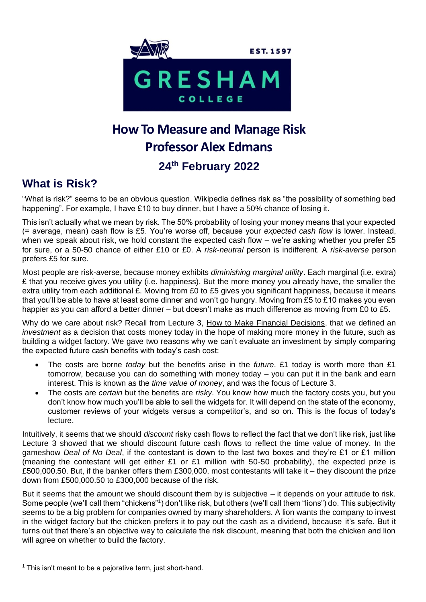

# **How To Measure and Manage Risk Professor Alex Edmans 24th February 2022**

## **What is Risk?**

"What is risk?" seems to be an obvious question. Wikipedia defines risk as "the possibility of something bad happening". For example, I have £10 to buy dinner, but I have a 50% chance of losing it.

This isn't actually what we mean by risk. The 50% probability of losing your money means that your expected (= average, mean) cash flow is £5. You're worse off, because your *expected cash flow* is lower. Instead, when we speak about risk, we hold constant the expected cash flow – we're asking whether you prefer £5 for sure, or a 50-50 chance of either £10 or £0. A *risk-neutral* person is indifferent. A *risk-averse* person prefers £5 for sure.

Most people are risk-averse, because money exhibits *diminishing marginal utility*. Each marginal (i.e. extra) £ that you receive gives you utility (i.e. happiness). But the more money you already have, the smaller the extra utility from each additional £. Moving from £0 to £5 gives you significant happiness, because it means that you'll be able to have at least some dinner and won't go hungry. Moving from £5 to £10 makes you even happier as you can afford a better dinner – but doesn't make as much difference as moving from £0 to £5.

Why do we care about risk? Recall from Lecture 3, How to Make Financial Decisions, that we defined an *investment* as a decision that costs money today in the hope of making more money in the future, such as building a widget factory. We gave two reasons why we can't evaluate an investment by simply comparing the expected future cash benefits with today's cash cost:

- The costs are borne *today* but the benefits arise in the *future*. £1 today is worth more than £1 tomorrow, because you can do something with money today – you can put it in the bank and earn interest. This is known as the *time value of money*, and was the focus of Lecture 3.
- The costs are *certain* but the benefits are *risky*. You know how much the factory costs you, but you don't know how much you'll be able to sell the widgets for. It will depend on the state of the economy, customer reviews of your widgets versus a competitor's, and so on. This is the focus of today's lecture.

Intuitively, it seems that we should *discount* risky cash flows to reflect the fact that we don't like risk, just like Lecture 3 showed that we should discount future cash flows to reflect the time value of money. In the gameshow *Deal of No Deal*, if the contestant is down to the last two boxes and they're £1 or £1 million (meaning the contestant will get either £1 or £1 million with 50-50 probability), the expected prize is £500,000.50. But, if the banker offers them £300,000, most contestants will take it – they discount the prize down from £500,000.50 to £300,000 because of the risk.

But it seems that the amount we should discount them by is subjective – it depends on your attitude to risk. Some people (we'll call them "chickens"1) don't like risk, but others (we'll call them "lions") do. This subjectivity seems to be a big problem for companies owned by many shareholders. A lion wants the company to invest in the widget factory but the chicken prefers it to pay out the cash as a dividend, because it's safe. But it turns out that there's an objective way to calculate the risk discount, meaning that both the chicken and lion will agree on whether to build the factory.

 $1$  This isn't meant to be a pejorative term, just short-hand.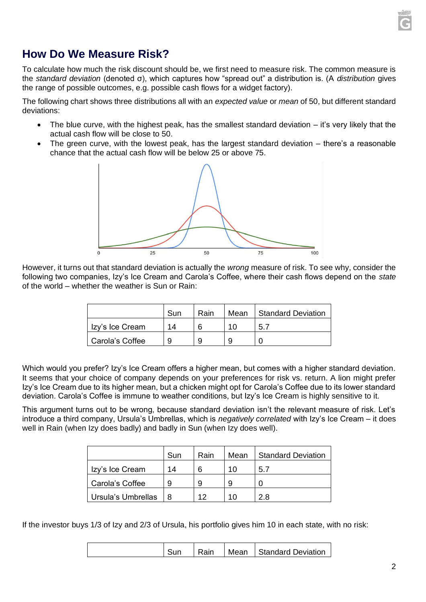

## **How Do We Measure Risk?**

To calculate how much the risk discount should be, we first need to measure risk. The common measure is the *standard deviation* (denoted σ), which captures how "spread out" a distribution is. (A *distribution* gives the range of possible outcomes, e.g. possible cash flows for a widget factory).

The following chart shows three distributions all with an *expected value* or *mean* of 50, but different standard deviations:

- The blue curve, with the highest peak, has the smallest standard deviation it's very likely that the actual cash flow will be close to 50.
- The green curve, with the lowest peak, has the largest standard deviation there's a reasonable chance that the actual cash flow will be below 25 or above 75.



However, it turns out that standard deviation is actually the *wrong* measure of risk. To see why, consider the following two companies, Izy's Ice Cream and Carola's Coffee, where their cash flows depend on the *state*  of the world – whether the weather is Sun or Rain:

|                 | Sun | Rain | Mean | Standard Deviation |
|-----------------|-----|------|------|--------------------|
| Izy's Ice Cream | 14  | 6    | 1 N  | 5.7                |
| Carola's Coffee |     | 9    |      |                    |

Which would you prefer? Izy's Ice Cream offers a higher mean, but comes with a higher standard deviation. It seems that your choice of company depends on your preferences for risk vs. return. A lion might prefer Izy's Ice Cream due to its higher mean, but a chicken might opt for Carola's Coffee due to its lower standard deviation. Carola's Coffee is immune to weather conditions, but Izy's Ice Cream is highly sensitive to it.

This argument turns out to be wrong, because standard deviation isn't the relevant measure of risk. Let's introduce a third company, Ursula's Umbrellas, which is *negatively correlated* with Izy's Ice Cream – it does well in Rain (when Izy does badly) and badly in Sun (when Izy does well).

|                    | Sun | Rain | Mean | <b>Standard Deviation</b> |
|--------------------|-----|------|------|---------------------------|
| Izy's Ice Cream    | 14  | 6    | 10   | 5.7                       |
| Carola's Coffee    |     | 9    | 9    |                           |
| Ursula's Umbrellas |     | 12   | 10   | 2 R                       |

If the investor buys 1/3 of Izy and 2/3 of Ursula, his portfolio gives him 10 in each state, with no risk:

|  |  |  | Rain | Mean | Standard Deviation |
|--|--|--|------|------|--------------------|
|--|--|--|------|------|--------------------|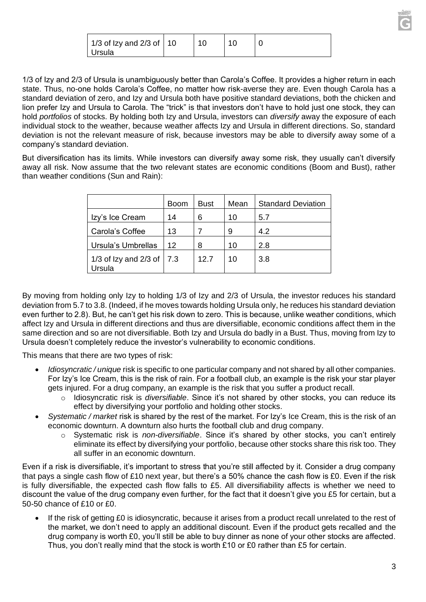| 1/3 of Izy and 2/3 of $\vert$ 10 | 10 |  |
|----------------------------------|----|--|
| Ursula                           |    |  |

1/3 of Izy and 2/3 of Ursula is unambiguously better than Carola's Coffee. It provides a higher return in each state. Thus, no-one holds Carola's Coffee, no matter how risk-averse they are. Even though Carola has a standard deviation of zero, and Izy and Ursula both have positive standard deviations, both the chicken and lion prefer Izy and Ursula to Carola. The "trick" is that investors don't have to hold just one stock, they can hold *portfolios* of stocks. By holding both Izy and Ursula, investors can *diversify* away the exposure of each individual stock to the weather, because weather affects Izy and Ursula in different directions. So, standard deviation is not the relevant measure of risk, because investors may be able to diversify away some of a company's standard deviation.

But diversification has its limits. While investors can diversify away some risk, they usually can't diversify away all risk. Now assume that the two relevant states are economic conditions (Boom and Bust), rather than weather conditions (Sun and Rain):

|                                           | <b>Boom</b> | <b>Bust</b> | Mean | <b>Standard Deviation</b> |
|-------------------------------------------|-------------|-------------|------|---------------------------|
| Izy's Ice Cream                           | 14          | 6           | 10   | 5.7                       |
| Carola's Coffee                           | 13          |             | 9    | 4.2                       |
| Ursula's Umbrellas                        | 12          | 8           | 10   | 2.8                       |
| 1/3 of Izy and $2/3$ of $\vert$<br>Ursula | 7.3         | 12.7        | 10   | 3.8                       |

By moving from holding only Izy to holding 1/3 of Izy and 2/3 of Ursula, the investor reduces his standard deviation from 5.7 to 3.8. (Indeed, if he moves towards holding Ursula only, he reduces his standard deviation even further to 2.8). But, he can't get his risk down to zero. This is because, unlike weather conditions, which affect Izy and Ursula in different directions and thus are diversifiable, economic conditions affect them in the same direction and so are not diversifiable. Both Izy and Ursula do badly in a Bust. Thus, moving from Izy to Ursula doesn't completely reduce the investor's vulnerability to economic conditions.

This means that there are two types of risk:

- *Idiosyncratic / unique* risk is specific to one particular company and not shared by all other companies. For Izy's Ice Cream, this is the risk of rain. For a football club, an example is the risk your star player gets injured. For a drug company, an example is the risk that you suffer a product recall.
	- o Idiosyncratic risk is *diversifiable*. Since it's not shared by other stocks, you can reduce its effect by diversifying your portfolio and holding other stocks.
- *Systematic / market* risk is shared by the rest of the market. For Izy's Ice Cream, this is the risk of an economic downturn. A downturn also hurts the football club and drug company.
	- o Systematic risk is *non-diversifiable*. Since it's shared by other stocks, you can't entirely eliminate its effect by diversifying your portfolio, because other stocks share this risk too. They all suffer in an economic downturn.

Even if a risk is diversifiable, it's important to stress that you're still affected by it. Consider a drug company that pays a single cash flow of £10 next year, but there's a 50% chance the cash flow is £0. Even if the risk is fully diversifiable, the expected cash flow falls to £5. All diversifiability affects is whether we need to discount the value of the drug company even further, for the fact that it doesn't give you £5 for certain, but a 50-50 chance of £10 or £0.

• If the risk of getting £0 is idiosyncratic, because it arises from a product recall unrelated to the rest of the market, we don't need to apply an additional discount. Even if the product gets recalled and the drug company is worth £0, you'll still be able to buy dinner as none of your other stocks are affected. Thus, you don't really mind that the stock is worth £10 or £0 rather than £5 for certain.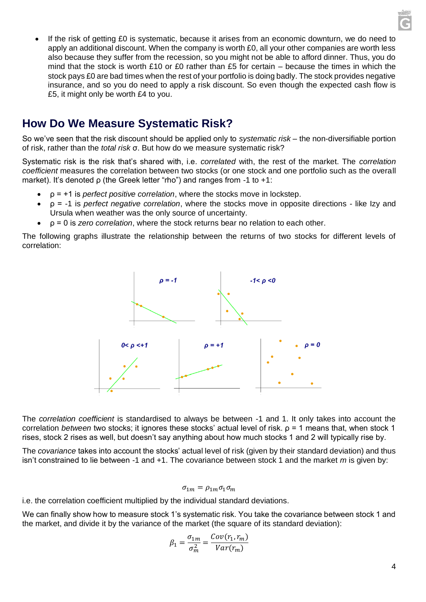• If the risk of getting £0 is systematic, because it arises from an economic downturn, we do need to apply an additional discount. When the company is worth £0, all your other companies are worth less also because they suffer from the recession, so you might not be able to afford dinner. Thus, you do mind that the stock is worth £10 or £0 rather than £5 for certain – because the times in which the stock pays £0 are bad times when the rest of your portfolio is doing badly. The stock provides negative insurance, and so you do need to apply a risk discount. So even though the expected cash flow is £5, it might only be worth £4 to you.

## **How Do We Measure Systematic Risk?**

So we've seen that the risk discount should be applied only to *systematic risk* – the non-diversifiable portion of risk, rather than the *total risk* σ. But how do we measure systematic risk?

Systematic risk is the risk that's shared with, i.e. *correlated* with, the rest of the market. The *correlation coefficient* measures the correlation between two stocks (or one stock and one portfolio such as the overall market). It's denoted ρ (the Greek letter "rho") and ranges from -1 to +1:

- ρ = +1 is *perfect positive correlation*, where the stocks move in lockstep.
- ρ = -1 is *perfect negative correlation*, where the stocks move in opposite directions like Izy and Ursula when weather was the only source of uncertainty.
- ρ = 0 is *zero correlation*, where the stock returns bear no relation to each other.

The following graphs illustrate the relationship between the returns of two stocks for different levels of correlation:



The *correlation coefficient* is standardised to always be between -1 and 1. It only takes into account the correlation *between* two stocks; it ignores these stocks' actual level of risk. ρ = 1 means that, when stock 1 rises, stock 2 rises as well, but doesn't say anything about how much stocks 1 and 2 will typically rise by.

The *covariance* takes into account the stocks' actual level of risk (given by their standard deviation) and thus isn't constrained to lie between -1 and +1. The covariance between stock 1 and the market *m* is given by:

$$
\sigma_{1m} = \rho_{1m}\sigma_1\sigma_m
$$

i.e. the correlation coefficient multiplied by the individual standard deviations.

We can finally show how to measure stock 1's systematic risk. You take the covariance between stock 1 and the market, and divide it by the variance of the market (the square of its standard deviation):

$$
\beta_1 = \frac{\sigma_{1m}}{\sigma_m^2} = \frac{Cov(r_1, r_m)}{Var(r_m)}
$$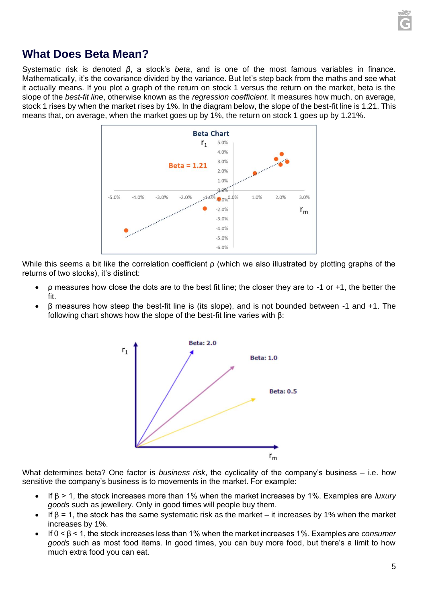

### **What Does Beta Mean?**

Systematic risk is denoted *β*, a stock's *beta*, and is one of the most famous variables in finance. Mathematically, it's the covariance divided by the variance. But let's step back from the maths and see what it actually means. If you plot a graph of the return on stock 1 versus the return on the market, beta is the slope of the *best-fit line*, otherwise known as the *regression coefficient.* It measures how much, on average, stock 1 rises by when the market rises by 1%. In the diagram below, the slope of the best-fit line is 1.21. This means that, on average, when the market goes up by 1%, the return on stock 1 goes up by 1.21%.



While this seems a bit like the correlation coefficient ρ (which we also illustrated by plotting graphs of the returns of two stocks), it's distinct:

- ρ measures how close the dots are to the best fit line; the closer they are to -1 or +1, the better the fit.
- $β$  measures how steep the best-fit line is (its slope), and is not bounded between -1 and +1. The following chart shows how the slope of the best-fit line varies with β:



What determines beta? One factor is *business risk*, the cyclicality of the company's business – i.e. how sensitive the company's business is to movements in the market. For example:

- If β > 1, the stock increases more than 1% when the market increases by 1%. Examples are *luxury goods* such as jewellery. Only in good times will people buy them.
- If  $\beta$  = 1, the stock has the same systematic risk as the market it increases by 1% when the market increases by 1%.
- If 0 < β < 1, the stock increases less than 1% when the market increases 1%. Examples are *consumer goods* such as most food items. In good times, you can buy more food, but there's a limit to how much extra food you can eat.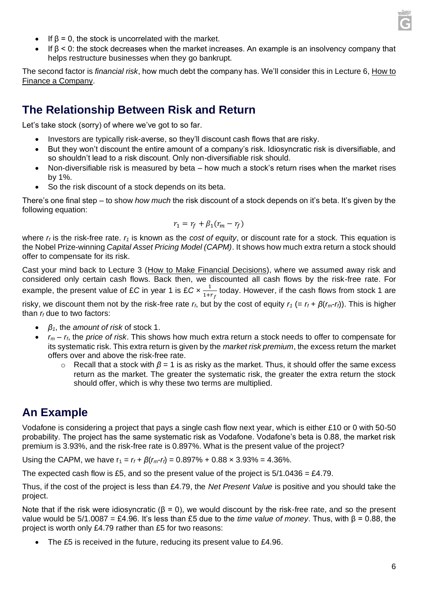

- If  $\beta$  = 0, the stock is uncorrelated with the market.
- If  $β < 0$ : the stock decreases when the market increases. An example is an insolvency company that helps restructure businesses when they go bankrupt.

The second factor is *financial risk*, how much debt the company has. We'll consider this in Lecture 6, How to Finance a Company.

### **The Relationship Between Risk and Return**

Let's take stock (sorry) of where we've got to so far.

- Investors are typically risk-averse, so they'll discount cash flows that are risky.
- But they won't discount the entire amount of a company's risk. Idiosyncratic risk is diversifiable, and so shouldn't lead to a risk discount. Only non-diversifiable risk should.
- Non-diversifiable risk is measured by beta how much a stock's return rises when the market rises by 1%.
- So the risk discount of a stock depends on its beta.

There's one final step – to show *how much* the risk discount of a stock depends on it's beta. It's given by the following equation:

$$
r_1 = r_f + \beta_1 (r_m - r_f)
$$

where *r<sup>f</sup>* is the risk-free rate. *r<sup>1</sup>* is known as the *cost of equity*, or discount rate for a stock. This equation is the Nobel Prize-winning *Capital Asset Pricing Model (CAPM)*. It shows how much extra return a stock should offer to compensate for its risk.

Cast your mind back to Lecture 3 (How to Make Financial Decisions), where we assumed away risk and considered only certain cash flows. Back then, we discounted all cash flows by the risk-free rate. For example, the present value of £*C* in year 1 is £*C*  $\times \frac{1}{\sqrt{1}}$  $\frac{1}{1+r_f}$  today. However, if the cash flows from stock 1 are risky, we discount them not by the risk-free rate  $r_f$ , but by the cost of equity  $r_f$  (=  $r_f + \beta(r_m - r_f)$ ). This is higher than *r<sup>f</sup>* due to two factors:

- *β1*, the *amount of risk* of stock 1.
- *r<sup>m</sup> – rf*, the *price of risk*. This shows how much extra return a stock needs to offer to compensate for its systematic risk. This extra return is given by the *market risk premium*, the excess return the market offers over and above the risk-free rate.
	- $\circ$  Recall that a stock with  $\beta$  = 1 is as risky as the market. Thus, it should offer the same excess return as the market. The greater the systematic risk, the greater the extra return the stock should offer, which is why these two terms are multiplied.

#### **An Example**

Vodafone is considering a project that pays a single cash flow next year, which is either £10 or 0 with 50-50 probability. The project has the same systematic risk as Vodafone. Vodafone's beta is 0.88, the market risk premium is 3.93%, and the risk-free rate is 0.897%. What is the present value of the project?

Using the CAPM, we have  $r_1 = r_f + \beta(r_m - r_f) = 0.897\% + 0.88 \times 3.93\% = 4.36\%.$ 

The expected cash flow is £5, and so the present value of the project is  $5/1.0436 = \text{\pounds}4.79$ .

Thus, if the cost of the project is less than £4.79, the *Net Present Value* is positive and you should take the project.

Note that if the risk were idiosyncratic ( $β = 0$ ), we would discount by the risk-free rate, and so the present value would be 5/1.0087 = £4.96. It's less than £5 due to the *time value of money*. Thus, with β = 0.88, the project is worth only £4.79 rather than £5 for two reasons:

The £5 is received in the future, reducing its present value to £4.96.